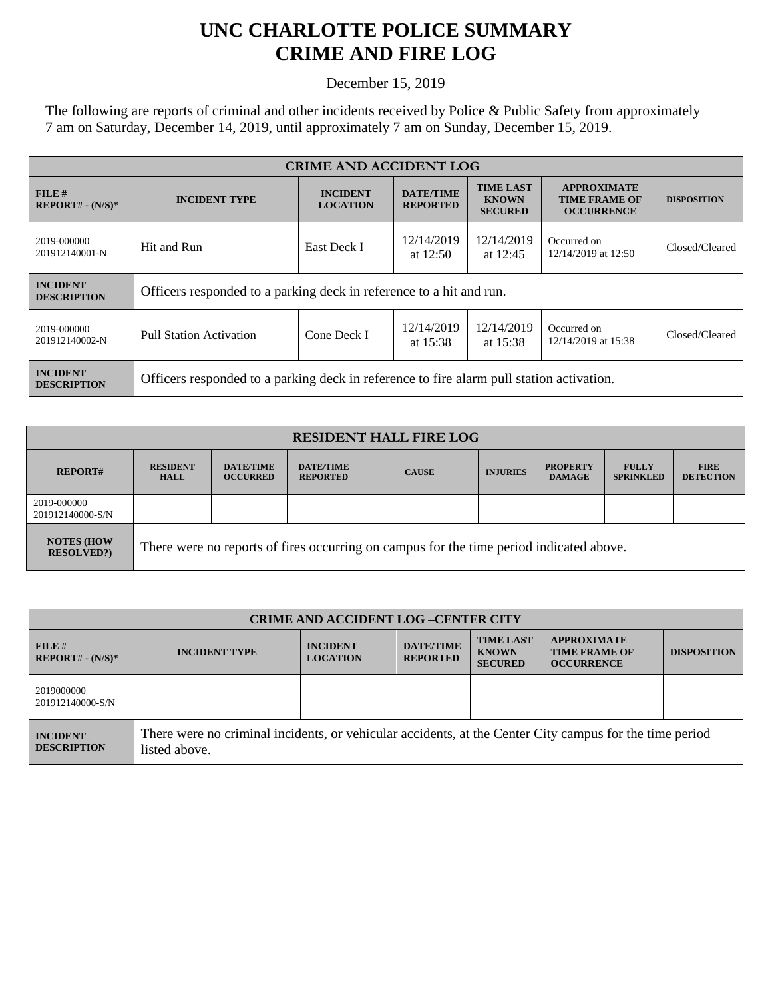## **UNC CHARLOTTE POLICE SUMMARY CRIME AND FIRE LOG**

December 15, 2019

The following are reports of criminal and other incidents received by Police & Public Safety from approximately 7 am on Saturday, December 14, 2019, until approximately 7 am on Sunday, December 15, 2019.

| <b>CRIME AND ACCIDENT LOG</b>         |                                                                                          |                                                                                                                                 |                          |                                                                 |                                    |                |
|---------------------------------------|------------------------------------------------------------------------------------------|---------------------------------------------------------------------------------------------------------------------------------|--------------------------|-----------------------------------------------------------------|------------------------------------|----------------|
| FILE H<br>$REPORT# - (N/S)*$          | <b>INCIDENT TYPE</b>                                                                     | <b>TIME LAST</b><br><b>INCIDENT</b><br><b>DATE/TIME</b><br><b>KNOWN</b><br><b>LOCATION</b><br><b>REPORTED</b><br><b>SECURED</b> |                          | <b>APPROXIMATE</b><br><b>TIME FRAME OF</b><br><b>OCCURRENCE</b> | <b>DISPOSITION</b>                 |                |
| 2019-000000<br>201912140001-N         | Hit and Run                                                                              | East Deck I                                                                                                                     | 12/14/2019<br>at $12:50$ | 12/14/2019<br>at $12:45$                                        | Occurred on<br>12/14/2019 at 12:50 | Closed/Cleared |
| <b>INCIDENT</b><br><b>DESCRIPTION</b> | Officers responded to a parking deck in reference to a hit and run.                      |                                                                                                                                 |                          |                                                                 |                                    |                |
| 2019-000000<br>201912140002-N         | <b>Pull Station Activation</b>                                                           | Cone Deck I                                                                                                                     | 12/14/2019<br>at $15:38$ | 12/14/2019<br>at $15:38$                                        | Occurred on<br>12/14/2019 at 15:38 | Closed/Cleared |
| <b>INCIDENT</b><br><b>DESCRIPTION</b> | Officers responded to a parking deck in reference to fire alarm pull station activation. |                                                                                                                                 |                          |                                                                 |                                    |                |

| <b>RESIDENT HALL FIRE LOG</b>         |                                                                                         |                                     |                                     |              |                 |                                  |                                  |                                 |
|---------------------------------------|-----------------------------------------------------------------------------------------|-------------------------------------|-------------------------------------|--------------|-----------------|----------------------------------|----------------------------------|---------------------------------|
| <b>REPORT#</b>                        | <b>RESIDENT</b><br><b>HALL</b>                                                          | <b>DATE/TIME</b><br><b>OCCURRED</b> | <b>DATE/TIME</b><br><b>REPORTED</b> | <b>CAUSE</b> | <b>INJURIES</b> | <b>PROPERTY</b><br><b>DAMAGE</b> | <b>FULLY</b><br><b>SPRINKLED</b> | <b>FIRE</b><br><b>DETECTION</b> |
| 2019-000000<br>201912140000-S/N       |                                                                                         |                                     |                                     |              |                 |                                  |                                  |                                 |
| <b>NOTES (HOW</b><br><b>RESOLVED?</b> | There were no reports of fires occurring on campus for the time period indicated above. |                                     |                                     |              |                 |                                  |                                  |                                 |

| <b>CRIME AND ACCIDENT LOG-CENTER CITY</b> |                                                                                                                          |                                    |                                     |                                                    |                                                                 |                    |
|-------------------------------------------|--------------------------------------------------------------------------------------------------------------------------|------------------------------------|-------------------------------------|----------------------------------------------------|-----------------------------------------------------------------|--------------------|
| FILE H<br>$REPORT# - (N/S)*$              | <b>INCIDENT TYPE</b>                                                                                                     | <b>INCIDENT</b><br><b>LOCATION</b> | <b>DATE/TIME</b><br><b>REPORTED</b> | <b>TIME LAST</b><br><b>KNOWN</b><br><b>SECURED</b> | <b>APPROXIMATE</b><br><b>TIME FRAME OF</b><br><b>OCCURRENCE</b> | <b>DISPOSITION</b> |
| 2019000000<br>201912140000-S/N            |                                                                                                                          |                                    |                                     |                                                    |                                                                 |                    |
| <b>INCIDENT</b><br><b>DESCRIPTION</b>     | There were no criminal incidents, or vehicular accidents, at the Center City campus for the time period<br>listed above. |                                    |                                     |                                                    |                                                                 |                    |